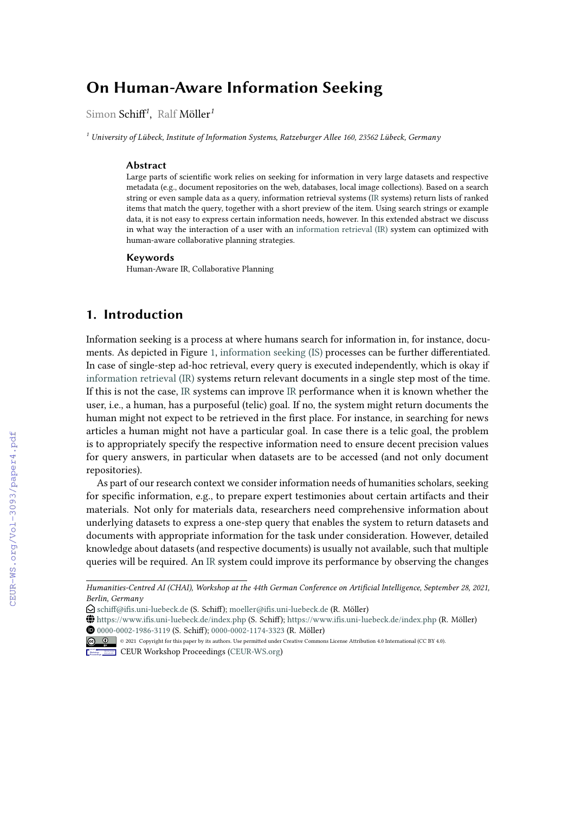# **On Human-Aware Information Seeking**

Simon Schiff*<sup>1</sup>* , Ralf Möller*<sup>1</sup>*

*<sup>1</sup> University of Lübeck, Institute of Information Systems, Ratzeburger Allee 160, 23562 Lübeck, Germany*

#### **Abstract**

Large parts of scientific work relies on seeking for information in very large datasets and respective metadata (e.g., document repositories on the web, databases, local image collections). Based on a search string or even sample data as a query, information retrieval systems (IR systems) return lists of ranked items that match the query, together with a short preview of the item. Using search strings or example data, it is not easy to express certain information needs, however. In this extended abstract we discuss in what way the interaction of a user with an information retrieval (IR) system can optimized with human-aware collaborative planning strategies.

#### **Keywords**

Human-Aware IR, Collaborative Planning

### **1. Introduction**

Information seeking is a process at where humans search for information in, for instance, documents. As depicted in Figure [1,](#page--1-0) information seeking (IS) processes can be further differentiated. In case of single-step ad-hoc retrieval, every query is executed independently, which is okay if information retrieval (IR) systems return relevant documents in a single step most of the time. If this is not the case, IR systems can improve IR performance when it is known whether the user, i.e., a human, has a purposeful (telic) goal. If no, the system might return documents the human might not expect to be retrieved in the first place. For instance, in searching for news articles a human might not have a particular goal. In case there is a telic goal, the problem is to appropriately specify the respective information need to ensure decent precision values for query answers, in particular when datasets are to be accessed (and not only document repositories).

As part of our research context we consider information needs of humanities scholars, seeking for specific information, e.g., to prepare expert testimonies about certain artifacts and their materials. Not only for materials data, researchers need comprehensive information about underlying datasets to express a one-step query that enables the system to return datasets and documents with appropriate information for the task under consideration. However, detailed knowledge about datasets (and respective documents) is usually not available, such that multiple queries will be required. An IR system could improve its performance by observing the changes

*Humanities-Centred AI (CHAI), Workshop at the 44th German Conference on Artificial Intelligence, September 28, 2021, Berlin, Germany*

 $\bigcirc$  [schiff@ifis.uni-luebeck.de](mailto:schiff@ifis.uni-luebeck.de) (S. Schiff); [moeller@ifis.uni-luebeck.de](mailto:moeller@ifis.uni-luebeck.de) (R. Möller)

<sup>~</sup> <https://www.ifis.uni-luebeck.de/index.php> (S. Schiff); <https://www.ifis.uni-luebeck.de/index.php> (R. Möller) [0000-0002-1986-3119](https://orcid.org/0000-0002-1986-3119) (S. Schiff); [0000-0002-1174-3323](https://orcid.org/0000-0002-1174-3323) (R. Möller)

<sup>©</sup> 2021 Copyright for this paper by its authors. Use permitted under Creative Commons License Attribution 4.0 International (CC BY 4.0).

**CEUR Workshop [Proceedings](http://ceur-ws.org) [\(CEUR-WS.org\)](http://ceur-ws.org)**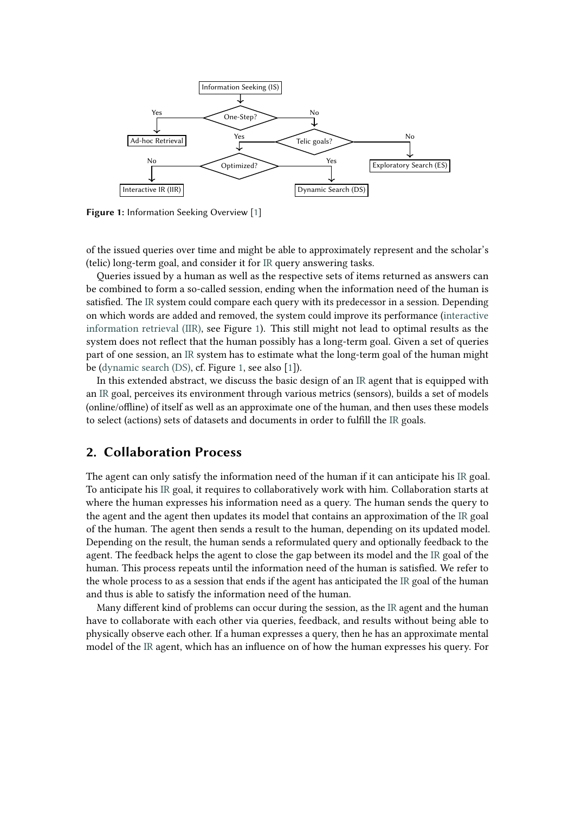<span id="page-1-0"></span>

**Figure 1:** Information Seeking Overview [\[1\]](#page-8-0)

of the issued queries over time and might be able to approximately represent and the scholar's (telic) long-term goal, and consider it for [IR](#page--1-1) query answering tasks.

Queries issued by a human as well as the respective sets of items returned as answers can be combined to form a so-called session, ending when the information need of the human is satisfied. The [IR](#page--1-1) system could compare each query with its predecessor in a session. Depending on which words are added and removed, the system could improve its performance [\(interactive](#page--1-1) [information retrieval \(IIR\),](#page--1-1) see Figure [1\)](#page-1-0). This still might not lead to optimal results as the system does not reflect that the human possibly has a long-term goal. Given a set of queries part of one session, an [IR](#page--1-1) system has to estimate what the long-term goal of the human might be [\(dynamic search \(DS\),](#page--1-1) cf. Figure [1,](#page-1-0) see also [\[1\]](#page-8-0)).

In this extended abstract, we discuss the basic design of an [IR](#page--1-1) agent that is equipped with an [IR](#page--1-1) goal, perceives its environment through various metrics (sensors), builds a set of models (online/offline) of itself as well as an approximate one of the human, and then uses these models to select (actions) sets of datasets and documents in order to fulfill the [IR](#page--1-1) goals.

#### **2. Collaboration Process**

The agent can only satisfy the information need of the human if it can anticipate his [IR](#page--1-1) goal. To anticipate his [IR](#page--1-1) goal, it requires to collaboratively work with him. Collaboration starts at where the human expresses his information need as a query. The human sends the query to the agent and the agent then updates its model that contains an approximation of the [IR](#page--1-1) goal of the human. The agent then sends a result to the human, depending on its updated model. Depending on the result, the human sends a reformulated query and optionally feedback to the agent. The feedback helps the agent to close the gap between its model and the [IR](#page--1-1) goal of the human. This process repeats until the information need of the human is satisfied. We refer to the whole process to as a session that ends if the agent has anticipated the [IR](#page--1-1) goal of the human and thus is able to satisfy the information need of the human.

Many different kind of problems can occur during the session, as the [IR](#page--1-1) agent and the human have to collaborate with each other via queries, feedback, and results without being able to physically observe each other. If a human expresses a query, then he has an approximate mental model of the [IR](#page--1-1) agent, which has an influence on of how the human expresses his query. For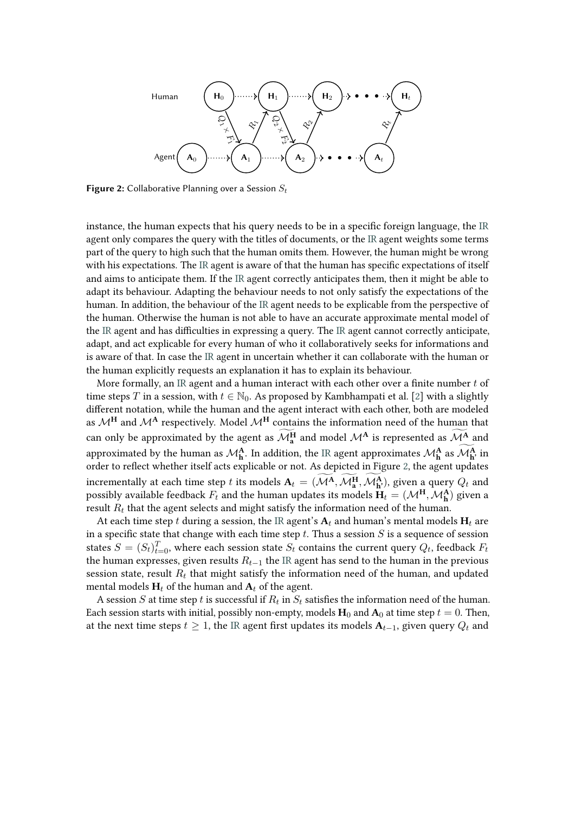<span id="page-2-0"></span>

**Figure 2:** Collaborative Planning over a Session  $S_t$ 

instance, the human expects that his query needs to be in a specific foreign language, the [IR](#page--1-1) agent only compares the query with the titles of documents, or the [IR](#page--1-1) agent weights some terms part of the query to high such that the human omits them. However, the human might be wrong with his expectations. The [IR](#page--1-1) agent is aware of that the human has specific expectations of itself and aims to anticipate them. If the [IR](#page--1-1) agent correctly anticipates them, then it might be able to adapt its behaviour. Adapting the behaviour needs to not only satisfy the expectations of the human. In addition, the behaviour of the [IR](#page--1-1) agent needs to be explicable from the perspective of the human. Otherwise the human is not able to have an accurate approximate mental model of the [IR](#page--1-1) agent and has difficulties in expressing a query. The [IR](#page--1-1) agent cannot correctly anticipate, adapt, and act explicable for every human of who it collaboratively seeks for informations and is aware of that. In case the [IR](#page--1-1) agent in uncertain whether it can collaborate with the human or the human explicitly requests an explanation it has to explain its behaviour.

More formally, an [IR](#page--1-1) agent and a human interact with each other over a finite number  $t$  of time steps T in a session, with  $t \in \mathbb{N}_0$ . As proposed by Kambhampati et al. [\[2\]](#page-8-1) with a slightly different notation, while the human and the agent interact with each other, both are modeled as  $\mathcal{M}^{\mathbf{H}}$  and  $\mathcal{M}^{\mathbf{A}}$  respectively. Model  $\mathcal{M}^{\mathbf{H}}$  contains the information need of the human that can only be approximated by the agent as  $\mathcal{M}_{a}^{H}$  and model  $\mathcal{M}^{A}$  is represented as  $\mathcal{M}_{a}^{A}$  and approximated by the human as  $\mathcal{M}^{\mathbf{A}}_{\mathbf{h}}$ . In addition, the [IR](#page--1-1) agent approximates  $\mathcal{M}^{\mathbf{A}}_{\mathbf{h}}$  as  $\mathcal{M}^{\mathbf{A}}_{\mathbf{h}'}$  in order to reflect whether itself acts explicable or not. As depicted in Figure [2,](#page-2-0) the agent updates incrementally at each time step t its models  $A_t = (\mathcal{M}^A, \mathcal{M}^H_a, \mathcal{M}^A_b)$ , given a query  $Q_t$  and possibly available feedback  $F_t$  and the human updates its models  $\mathbf{H}_t = (\mathcal{M}^\mathbf{H}, \mathcal{M}^\mathbf{A}_\mathbf{h})$  given a result  $R_t$  that the agent selects and might satisfy the information need of the human.

At each time step t during a session, the [IR](#page--1-1) agent's  $A_t$  and human's mental models  $H_t$  are in a specific state that change with each time step  $t$ . Thus a session  $S$  is a sequence of session states  $S = (S_t)_{t=0}^T$ , where each session state  $S_t$  contains the current query  $Q_t$ , feedback  $F_t$ the human expresses, given results  $R_{t-1}$  the [IR](#page--1-1) agent has send to the human in the previous session state, result  $R_t$  that might satisfy the information need of the human, and updated mental models  $H_t$  of the human and  $A_t$  of the agent.

A session  $S$  at time step  $t$  is successful if  $R_t$  in  $S_t$  satisfies the information need of the human. Each session starts with initial, possibly non-empty, models  $H_0$  and  $A_0$  at time step  $t = 0$ . Then, at the next time steps  $t \geq 1$ , the [IR](#page--1-1) agent first updates its models  $A_{t-1}$ , given query  $Q_t$  and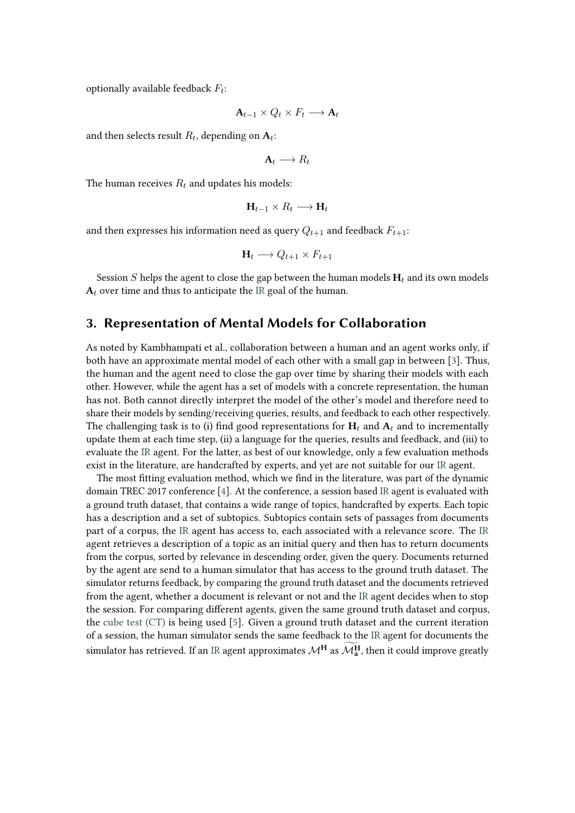optionally available feedback  $F_t$ :

$$
\mathbf{A}_{t-1} \times Q_t \times F_t \longrightarrow \mathbf{A}_t
$$

and then selects result  $R_t$ , depending on  $A_t$ :

 $A_t \longrightarrow R_t$ 

The human receives  $R_t$  and updates his models:

$$
\mathbf{H}_{t-1}\times R_t\longrightarrow \mathbf{H}_t
$$

and then expresses his information need as query  $Q_{t+1}$  and feedback  $F_{t+1}$ :

$$
\mathbf{H}_t \longrightarrow Q_{t+1} \times F_{t+1}
$$

Session  $S$  helps the agent to close the gap between the human models  $H_t$  and its own models  $A_t$  over time and thus to anticipate the [IR](#page--1-1) goal of the human.

## **3. Representation of Mental Models for Collaboration**

As noted by Kambhampati et al., collaboration between a human and an agent works only, if both have an approximate mental model of each other with a small gap in between [\[3\]](#page-8-2). Thus, the human and the agent need to close the gap over time by sharing their models with each other. However, while the agent has a set of models with a concrete representation, the human has not. Both cannot directly interpret the model of the other's model and therefore need to share their models by sending/receiving queries, results, and feedback to each other respectively. The challenging task is to (i) find good representations for  $H_t$  and  $A_t$  and to incrementally update them at each time step, (ii) a language for the queries, results and feedback, and (iii) to evaluate the [IR](#page--1-1) agent. For the latter, as best of our knowledge, only a few evaluation methods exist in the literature, are handcrafted by experts, and yet are not suitable for our [IR](#page--1-1) agent.

The most fitting evaluation method, which we find in the literature, was part of the dynamic domain TREC 2017 conference [\[4\]](#page-8-3). At the conference, a session based [IR](#page--1-1) agent is evaluated with a ground truth dataset, that contains a wide range of topics, handcrafted by experts. Each topic has a description and a set of subtopics. Subtopics contain sets of passages from documents part of a corpus, the [IR](#page--1-1) agent has access to, each associated with a relevance score. The [IR](#page--1-1) agent retrieves a description of a topic as an initial query and then has to return documents from the corpus, sorted by relevance in descending order, given the query. Documents returned by the agent are send to a human simulator that has access to the ground truth dataset. The simulator returns feedback, by comparing the ground truth dataset and the documents retrieved from the agent, whether a document is relevant or not and the [IR](#page--1-1) agent decides when to stop the session. For comparing different agents, given the same ground truth dataset and corpus, the [cube test \(CT\)](#page--1-1) is being used [\[5\]](#page-8-4). Given a ground truth dataset and the current iteration of a session, the human simulator sends the same feedback to the [IR](#page--1-1) agent for documents the simulator has retrieved. If an [IR](#page--1-1) agent approximates  $\mathcal{M}_{\mathbf{a}}^{\mathbf{H}}$  as  $\mathcal{M}_{\mathbf{a}}^{\mathbf{H}}$ , then it could improve greatly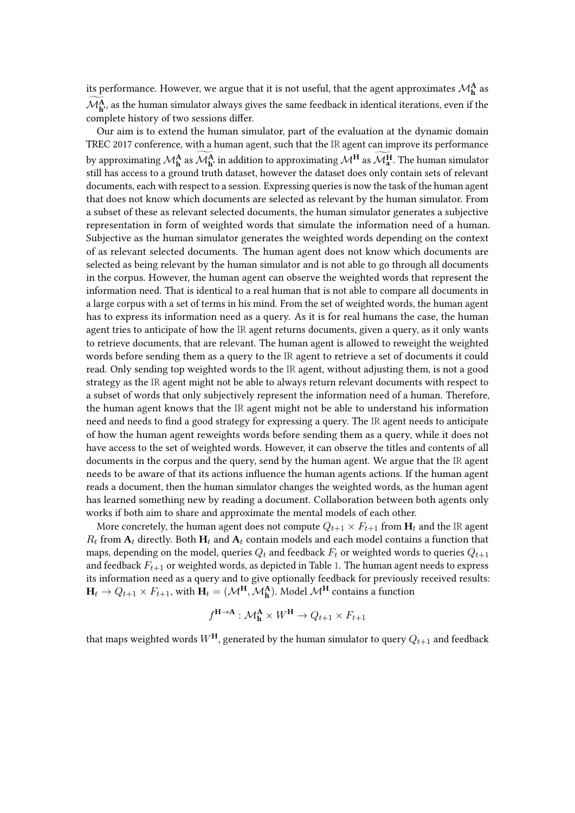its performance. However, we argue that it is not useful, that the agent approximates  $\mathcal{M}^{\mathbf{A}}_{\mathbf{h}}$  as  $\mathcal{M}^{\mathbf{A}}_{\mathbf{h}'}$ , as the human simulator always gives the same feedback in identical iterations, even if the complete history of two sessions differ.

Our aim is to extend the human simulator, part of the evaluation at the dynamic domain TREC 2017 conference, with a human agent, such that the [IR](#page--1-1) agent can improve its performance by approximating  $\mathcal{M}_{\mathbf{h}}^{\mathbf{A}}$  as  $\mathcal{M}_{\mathbf{h}}^{\mathbf{A}}$ , in addition to approximating  $\mathcal{M}_{\mathbf{a}}^{\mathbf{H}}$ . The human simulator still has access to a ground truth dataset, however the dataset does only contain sets of relevant documents, each with respect to a session. Expressing queries is now the task of the human agent that does not know which documents are selected as relevant by the human simulator. From a subset of these as relevant selected documents, the human simulator generates a subjective representation in form of weighted words that simulate the information need of a human. Subjective as the human simulator generates the weighted words depending on the context of as relevant selected documents. The human agent does not know which documents are selected as being relevant by the human simulator and is not able to go through all documents in the corpus. However, the human agent can observe the weighted words that represent the information need. That is identical to a real human that is not able to compare all documents in a large corpus with a set of terms in his mind. From the set of weighted words, the human agent has to express its information need as a query. As it is for real humans the case, the human agent tries to anticipate of how the [IR](#page--1-1) agent returns documents, given a query, as it only wants to retrieve documents, that are relevant. The human agent is allowed to reweight the weighted words before sending them as a query to the [IR](#page--1-1) agent to retrieve a set of documents it could read. Only sending top weighted words to the [IR](#page--1-1) agent, without adjusting them, is not a good strategy as the [IR](#page--1-1) agent might not be able to always return relevant documents with respect to a subset of words that only subjectively represent the information need of a human. Therefore, the human agent knows that the [IR](#page--1-1) agent might not be able to understand his information need and needs to find a good strategy for expressing a query. The [IR](#page--1-1) agent needs to anticipate of how the human agent reweights words before sending them as a query, while it does not have access to the set of weighted words. However, it can observe the titles and contents of all documents in the corpus and the query, send by the human agent. We argue that the [IR](#page--1-1) agent needs to be aware of that its actions influence the human agents actions. If the human agent reads a document, then the human simulator changes the weighted words, as the human agent has learned something new by reading a document. Collaboration between both agents only works if both aim to share and approximate the mental models of each other.

More concretely, the human agent does not compute  $Q_{t+1} \times F_{t+1}$  from  $H_t$  and the [IR](#page--1-1) agent  $R_t$  from  $A_t$  directly. Both  $H_t$  and  $A_t$  contain models and each model contains a function that maps, depending on the model, queries  $Q_t$  and feedback  $F_t$  or weighted words to queries  $Q_{t+1}$ and feedback  $F_{t+1}$  or weighted words, as depicted in Table [1.](#page-5-0) The human agent needs to express its information need as a query and to give optionally feedback for previously received results:  $\mathbf{H}_t \to Q_{t+1} \times F_{t+1}$ , with  $\mathbf{H}_t = (\mathcal{M}^\mathbf{H}, \mathcal{M}^\mathbf{A}_\mathbf{h})$ . Model  $\mathcal{M}^\mathbf{H}$  contains a function

$$
f^{\mathbf{H}\to\mathbf{A}}:\mathcal{M}^{\mathbf{A}}_{\mathbf{h}}\times W^{\mathbf{H}}\to Q_{t+1}\times F_{t+1}
$$

that maps weighted words  $W^{\text{H}}$ , generated by the human simulator to query  $Q_{t+1}$  and feedback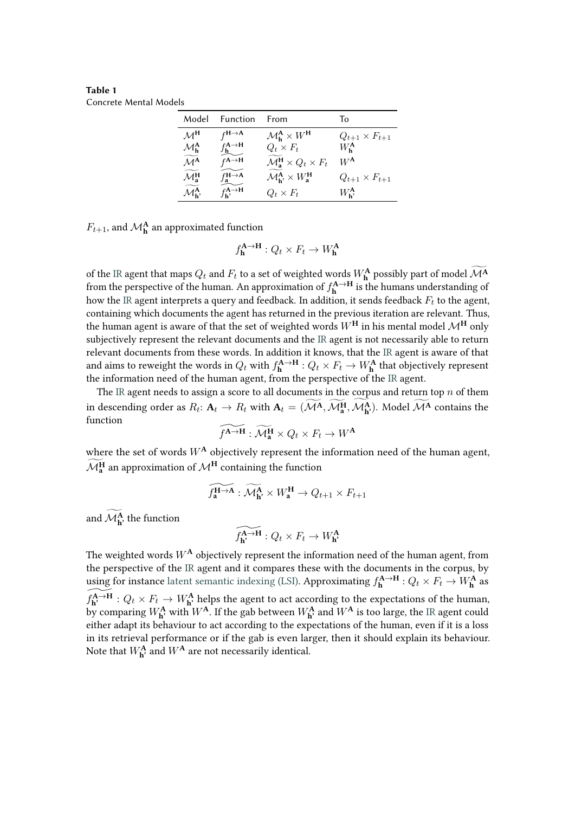<span id="page-5-0"></span>**Table 1** Concrete Mental Models

| Model                                               | Function                                           | From                                                                       | To                       |
|-----------------------------------------------------|----------------------------------------------------|----------------------------------------------------------------------------|--------------------------|
| $\mathcal{M}^{\mathsf{H}}$                          | $f^{\mathsf{H}\rightarrow\mathsf{A}}$              | $\mathcal{M}_{h}^{\mathbf{A}} \times W^{\mathbf{H}}$                       | $Q_{t+1} \times F_{t+1}$ |
| $\mathcal{M}_{h}^{A}$                               | $f_{h}^{A\rightarrow H}$                           | $Q_t \times F_t$                                                           | $W_{h}^{\mathbf{A}}$     |
| $\widetilde{\mathcal{M}}^{\mathbf{A}}$              | $f^{\mathsf{A}\rightarrow\mathsf{H}}$              | $\mathcal{M}_{a}^{H} \times Q_{t} \times F_{t}$                            | $W^{\mathsf{A}}$         |
| $\widetilde{\mathcal{M}}_{a}^{H}$                   | $f_{\mathbf{a}}^{\mathbf{H}\rightarrow\mathbf{A}}$ | $\mathcal{M}_{\mathbf{h}}^{\mathbf{A}} \times W_{\mathbf{a}}^{\mathbf{H}}$ | $Q_{t+1} \times F_{t+1}$ |
| $\widetilde{\mathcal{M}_{\mathbf{b}}^{\mathbf{A}}}$ | $f_{\mathbf{h}}^{\mathbf{A}\to\mathbf{H}}$         | $Q_t \times F_t$                                                           | $W_{h}^{A}$              |

 $F_{t+1}$ , and  $\mathcal{M}^{\mathbf{A}}_{\mathbf{h}}$  an approximated function

$$
f_{\mathbf{h}}^{\mathbf{A}\to\mathbf{H}}: Q_t \times F_t \to W_{\mathbf{h}}^{\mathbf{A}}
$$

of the [IR](#page--1-1) agent that maps  $Q_t$  and  $F_t$  to a set of weighted words  $W_{\mathbf{h}}^{\mathbf{A}}$  possibly part of model  $\mathcal{M}^{\mathbf{A}}$ from the perspective of the human. An approximation of  $f_{\bf h}^{{\bf A}\to{\bf H}}$  is the humans understanding of how the [IR](#page--1-1) agent interprets a query and feedback. In addition, it sends feedback  $F_t$  to the agent, containing which documents the agent has returned in the previous iteration are relevant. Thus, the human agent is aware of that the set of weighted words  $W^{\text{H}}$  in his mental model  $\mathcal{M}^{\text{H}}$  only subjectively represent the relevant documents and the [IR](#page--1-1) agent is not necessarily able to return relevant documents from these words. In addition it knows, that the [IR](#page--1-1) agent is aware of that and aims to reweight the words in  $Q_t$  with  $f^{{\bf A}\to{\bf H}}_{\bf h}: Q_t\times F_t\to W^{\bf A}_{\bf h}$  that objectively represent the information need of the human agent, from the perspective of the [IR](#page--1-1) agent.

The [IR](#page--1-1) agent needs to assign a score to all documents in the corpus and return top  $n$  of them in descending order as  $R_t: \mathbf{A}_t \to R_t$  with  $\mathbf{A}_t = (\mathcal{M}^{\mathbf{A}}, \mathcal{M}^{\mathbf{H}}_{\mathbf{a}}, \mathcal{M}^{\mathbf{A}}_{\mathbf{h}})$ . Model  $\mathcal{M}^{\mathbf{A}}$  contains the function

$$
\widetilde{f^{\mathbf{A}\to\mathbf{H}}}:\widetilde{\mathcal{M}_{\mathbf{a}}^{\mathbf{H}}}\times Q_t\times F_t\to W^{\mathbf{A}}
$$

where the set of words  $W^{\mathbf{A}}$  objectively represent the information need of the human agent,  $\mathcal{M}_{\mathbf{a}}^{\mathbf{H}}$  an approximation of  $\mathcal{M}^{\mathbf{H}}$  containing the function

$$
\widetilde{f_{\mathbf{a}}^{\mathbf{H}\to\mathbf{A}}}:\widetilde{\mathcal{M}_{\mathbf{h}}^{\mathbf{A}}}\times W_{\mathbf{a}}^{\mathbf{H}}\to Q_{t+1}\times F_{t+1}
$$

and  $\mathcal{M}_{\mathbf{h}'}^{\mathbf{A}}$  the function

$$
\widetilde{f_{\mathbf{h}'}^{\mathbf{A}\to\mathbf{H}}}: Q_t \times F_t \to W_{\mathbf{h}'}^{\mathbf{A}}
$$

The weighted words  $W^{\mathbf{A}}$  objectively represent the information need of the human agent, from the perspective of the [IR](#page--1-1) agent and it compares these with the documents in the corpus, by using for instance [latent semantic indexing \(LSI\).](#page--1-1) Approximating  $f_h^{\bf A \to H}$  :  $Q_t \times F_t \to W_h^{\bf A}$  as  $\widetilde{f_{\textbf{h}'}^{\textbf{A}\rightarrow\textbf{H}}}: Q_t \times F_t \rightarrow W_{\textbf{h}'}^{\textbf{A}}$  helps the agent to act according to the expectations of the human, by comparing  $W_{\bf h'}^{\bf A}$  with  $W^{\bf A}$ . If the gab between  $W_{\bf h'}^{\bf A}$  and  $W^{\bf A}$  is too large, the [IR](#page--1-1) agent could either adapt its behaviour to act according to the expectations of the human, even if it is a loss in its retrieval performance or if the gab is even larger, then it should explain its behaviour. Note that  $W_{\mathbf{h}^{\prime}}^{\mathbf{A}}$  and  $W^{\mathbf{A}}$  are not necessarily identical.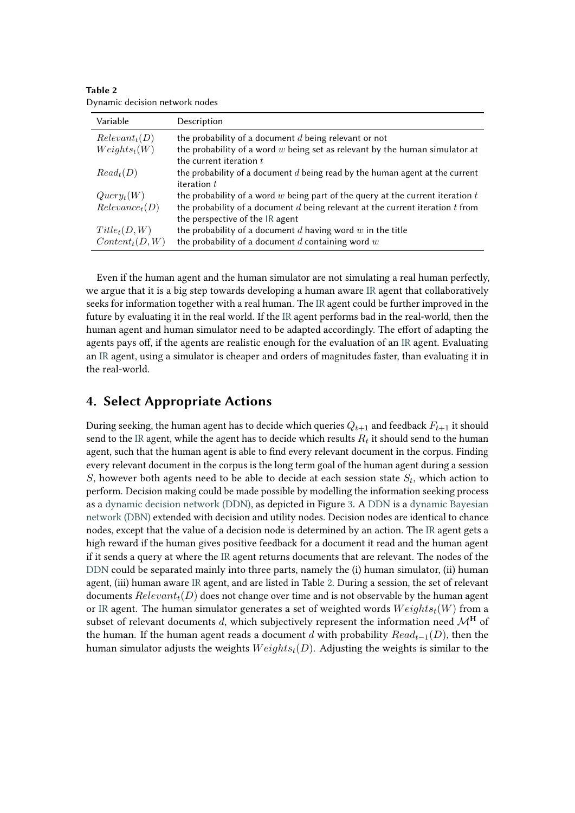| Variable                  | Description                                                                                                |  |
|---------------------------|------------------------------------------------------------------------------------------------------------|--|
| Relevant <sub>t</sub> (D) | the probability of a document $d$ being relevant or not                                                    |  |
| $Weights_{t}(W)$          | the probability of a word $w$ being set as relevant by the human simulator at<br>the current iteration $t$ |  |
| $Read_t(D)$               | the probability of a document $d$ being read by the human agent at the current                             |  |
|                           | iteration $t$                                                                                              |  |
| $Query_t(W)$              | the probability of a word $w$ being part of the query at the current iteration $t$                         |  |
| $Relevance_t(D)$          | the probability of a document $d$ being relevant at the current iteration $t$ from                         |  |
|                           | the perspective of the IR agent                                                                            |  |
| $Title_t(D, W)$           | the probability of a document $d$ having word $w$ in the title                                             |  |
| $Content_t(D, W)$         | the probability of a document $d$ containing word $w$                                                      |  |

<span id="page-6-0"></span>**Table 2** Dynamic decision network nodes

Even if the human agent and the human simulator are not simulating a real human perfectly, we argue that it is a big step towards developing a human aware [IR](#page--1-1) agent that collaboratively seeks for information together with a real human. The [IR](#page--1-1) agent could be further improved in the future by evaluating it in the real world. If the [IR](#page--1-1) agent performs bad in the real-world, then the human agent and human simulator need to be adapted accordingly. The effort of adapting the agents pays off, if the agents are realistic enough for the evaluation of an [IR](#page--1-1) agent. Evaluating an [IR](#page--1-1) agent, using a simulator is cheaper and orders of magnitudes faster, than evaluating it in the real-world.

#### **4. Select Appropriate Actions**

During seeking, the human agent has to decide which queries  $Q_{t+1}$  and feedback  $F_{t+1}$  it should send to the [IR](#page--1-1) agent, while the agent has to decide which results  $R_t$  it should send to the human agent, such that the human agent is able to find every relevant document in the corpus. Finding every relevant document in the corpus is the long term goal of the human agent during a session S, however both agents need to be able to decide at each session state  $S_t$ , which action to perform. Decision making could be made possible by modelling the information seeking process as a [dynamic decision network \(DDN\),](#page--1-1) as depicted in Figure [3.](#page-7-0) A [DDN](#page--1-1) is a [dynamic Bayesian](#page--1-1) [network \(DBN\)](#page--1-1) extended with decision and utility nodes. Decision nodes are identical to chance nodes, except that the value of a decision node is determined by an action. The [IR](#page--1-1) agent gets a high reward if the human gives positive feedback for a document it read and the human agent if it sends a query at where the [IR](#page--1-1) agent returns documents that are relevant. The nodes of the [DDN](#page--1-1) could be separated mainly into three parts, namely the (i) human simulator, (ii) human agent, (iii) human aware [IR](#page--1-1) agent, and are listed in Table [2.](#page-6-0) During a session, the set of relevant documents  $Relevant<sub>t</sub>(D)$  does not change over time and is not observable by the human agent or [IR](#page--1-1) agent. The human simulator generates a set of weighted words  $Weights_t(W)$  from a subset of relevant documents d, which subjectively represent the information need  $\mathcal{M}^H$  of the human. If the human agent reads a document d with probability  $Read_{t-1}(D)$ , then the human simulator adjusts the weights  $Weights_t(D)$ . Adjusting the weights is similar to the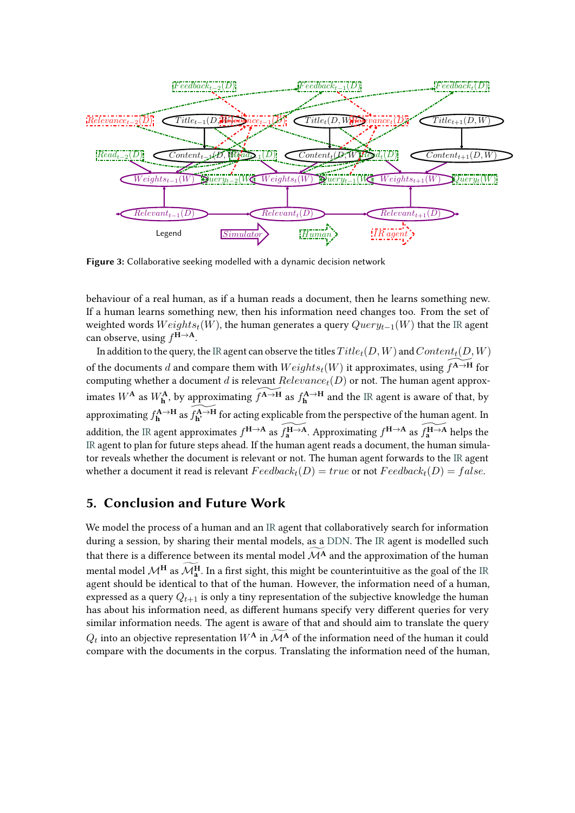

<span id="page-7-0"></span>**Figure 3:** Collaborative seeking modelled with a dynamic decision network

behaviour of a real human, as if a human reads a document, then he learns something new. If a human learns something new, then his information need changes too. From the set of weighted words  $Weights_t(W)$ , the human generates a query  $Query_{t-1}(W)$  that the [IR](#page--1-1) agent can observe, using **<sup>H</sup>**→**A**.

In addition to the query, the [IR](#page--1-1) agent can observe the titles  $Title_t(D, W)$  and  $Content_t(D, W)$ of the documents d and compare them with  $Weights_t(W)$  it approximates, using  $f^{A\rightarrow H}$  for computing whether a document d is relevant  $Relevance_t(D)$  or not. The human agent approximates  $W^{\mathbf{A}}$  as  $W^{\mathbf{A}}_{\mathbf{h}}$ , by approximating  $\widetilde{f^{\mathbf{A}\to\mathbf{H}}}$  as  $f^{\mathbf{A}\to\mathbf{H}}_{\mathbf{h}}$  and the [IR](#page--1-1) agent is aware of that, by approximating  $f_{\bf h}^{\bf A\to H}$  as  $\widetilde{f_{\bf h'}^{\bf A\to H}}$  for acting explicable from the perspective of the human agent. In addition, the [IR](#page--1-1) agent approximates  $f^{H\to A}$  as  $\widetilde{f^{H\to A}_a}$ . Approximating  $f^{H\to A}$  as  $\widetilde{f^{H\to A}_a}$  helps the [IR](#page--1-1) agent to plan for future steps ahead. If the human agent reads a document, the human simulator reveals whether the document is relevant or not. The human agent forwards to the [IR](#page--1-1) agent whether a document it read is relevant  $Feedback<sub>t</sub>(D) = true$  or not  $Feedback<sub>t</sub>(D) = false$ .

### **5. Conclusion and Future Work**

We model the process of a human and an [IR](#page--1-1) agent that collaboratively search for information during a session, by sharing their mental models, as a [DDN.](#page--1-1) The [IR](#page--1-1) agent is modelled such that there is a difference between its mental model  $\widetilde{\mathcal{M}}^{\mathbf{A}}$  and the approximation of the human mental model  $\mathcal{M}_{\mathbf{a}}^{\mathbf{H}}$  as  $\mathcal{M}_{\mathbf{a}}^{\mathbf{H}}$ . In a first sight, this might be counterintuitive as the goal of the [IR](#page--1-1) agent should be identical to that of the human. However, the information need of a human, expressed as a query  $Q_{t+1}$  is only a tiny representation of the subjective knowledge the human has about his information need, as different humans specify very different queries for very similar information needs. The agent is aware of that and should aim to translate the query  $Q_t$  into an objective representation  $W^{\mathbf{A}}$  in  $\mathcal{M}^{\mathbf{A}}$  of the information need of the human it could compare with the documents in the corpus. Translating the information need of the human,